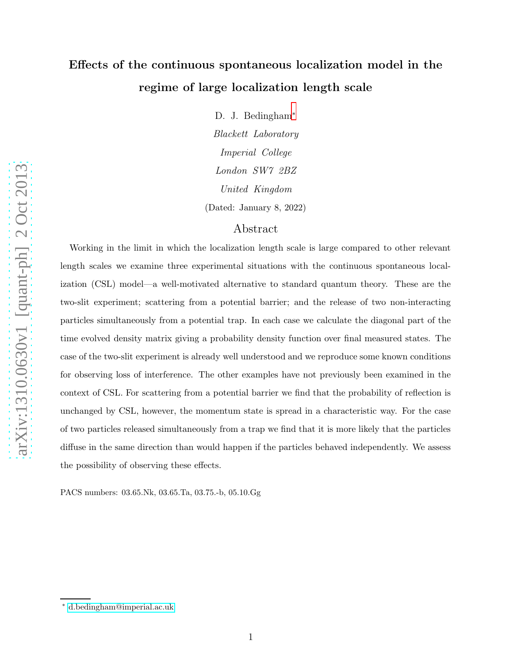# Effects of the continuous spontaneous localization model in the regime of large localization length scale

D. J. Bedingham[∗](#page-0-0)

Blackett Laboratory Imperial College London SW7 2BZ United Kingdom (Dated: January 8, 2022)

# Abstract

Working in the limit in which the localization length scale is large compared to other relevant length scales we examine three experimental situations with the continuous spontaneous localization (CSL) model—a well-motivated alternative to standard quantum theory. These are the two-slit experiment; scattering from a potential barrier; and the release of two non-interacting particles simultaneously from a potential trap. In each case we calculate the diagonal part of the time evolved density matrix giving a probability density function over final measured states. The case of the two-slit experiment is already well understood and we reproduce some known conditions for observing loss of interference. The other examples have not previously been examined in the context of CSL. For scattering from a potential barrier we find that the probability of reflection is unchanged by CSL, however, the momentum state is spread in a characteristic way. For the case of two particles released simultaneously from a trap we find that it is more likely that the particles diffuse in the same direction than would happen if the particles behaved independently. We assess the possibility of observing these effects.

PACS numbers: 03.65.Nk, 03.65.Ta, 03.75.-b, 05.10.Gg

<span id="page-0-0"></span><sup>∗</sup> [d.bedingham@imperial.ac.uk](mailto:d.bedingham@imperial.ac.uk)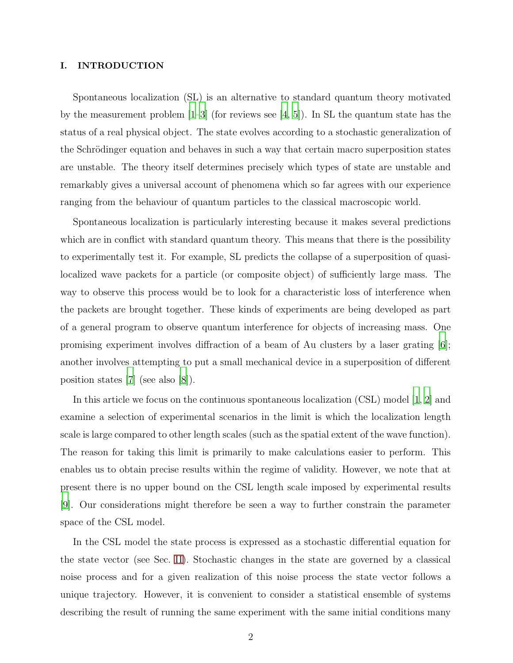#### I. INTRODUCTION

Spontaneous localization (SL) is an alternative to standard quantum theory motivated by the measurement problem  $[1-3]$  (for reviews see  $[4, 5]$  $[4, 5]$ ). In SL the quantum state has the status of a real physical object. The state evolves according to a stochastic generalization of the Schrödinger equation and behaves in such a way that certain macro superposition states are unstable. The theory itself determines precisely which types of state are unstable and remarkably gives a universal account of phenomena which so far agrees with our experience ranging from the behaviour of quantum particles to the classical macroscopic world.

Spontaneous localization is particularly interesting because it makes several predictions which are in conflict with standard quantum theory. This means that there is the possibility to experimentally test it. For example, SL predicts the collapse of a superposition of quasilocalized wave packets for a particle (or composite object) of sufficiently large mass. The way to observe this process would be to look for a characteristic loss of interference when the packets are brought together. These kinds of experiments are being developed as part of a general program to observe quantum interference for objects of increasing mass. One promising experiment involves diffraction of a beam of Au clusters by a laser grating [\[6\]](#page-18-4); another involves attempting to put a small mechanical device in a superposition of different position states [\[7\]](#page-18-5) (see also [\[8](#page-18-6)]).

In this article we focus on the continuous spontaneous localization (CSL) model [\[1,](#page-18-0) [2\]](#page-18-7) and examine a selection of experimental scenarios in the limit is which the localization length scale is large compared to other length scales (such as the spatial extent of the wave function). The reason for taking this limit is primarily to make calculations easier to perform. This enables us to obtain precise results within the regime of validity. However, we note that at present there is no upper bound on the CSL length scale imposed by experimental results [\[9](#page-18-8)]. Our considerations might therefore be seen a way to further constrain the parameter space of the CSL model.

In the CSL model the state process is expressed as a stochastic differential equation for the state vector (see Sec. [II\)](#page-3-0). Stochastic changes in the state are governed by a classical noise process and for a given realization of this noise process the state vector follows a unique trajectory. However, it is convenient to consider a statistical ensemble of systems describing the result of running the same experiment with the same initial conditions many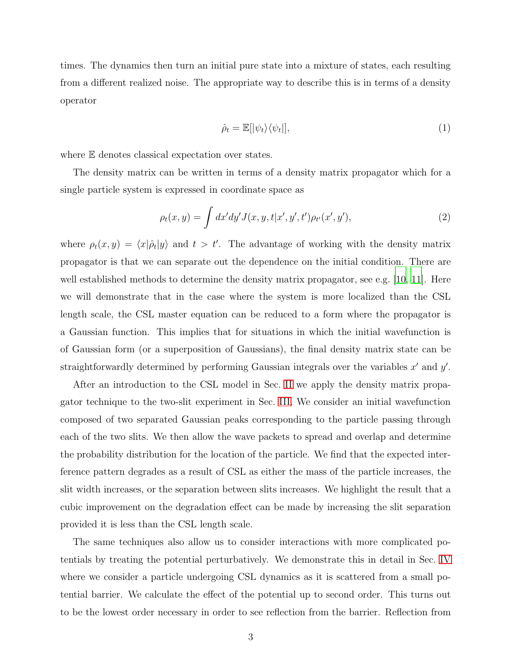times. The dynamics then turn an initial pure state into a mixture of states, each resulting from a different realized noise. The appropriate way to describe this is in terms of a density operator

<span id="page-2-1"></span><span id="page-2-0"></span>
$$
\hat{\rho}_t = \mathbb{E}[|\psi_t\rangle\langle\psi_t|],\tag{1}
$$

where  $E$  denotes classical expectation over states.

The density matrix can be written in terms of a density matrix propagator which for a single particle system is expressed in coordinate space as

$$
\rho_t(x, y) = \int dx'dy'J(x, y, t|x', y', t')\rho_{t'}(x', y'),
$$
\n(2)

where  $\rho_t(x, y) = \langle x | \hat{\rho}_t | y \rangle$  and  $t > t'$ . The advantage of working with the density matrix propagator is that we can separate out the dependence on the initial condition. There are well established methods to determine the density matrix propagator, see e.g. [\[10,](#page-19-0) [11\]](#page-19-1). Here we will demonstrate that in the case where the system is more localized than the CSL length scale, the CSL master equation can be reduced to a form where the propagator is a Gaussian function. This implies that for situations in which the initial wavefunction is of Gaussian form (or a superposition of Gaussians), the final density matrix state can be straightforwardly determined by performing Gaussian integrals over the variables  $x'$  and  $y'$ .

After an introduction to the CSL model in Sec. [II](#page-3-0) we apply the density matrix propagator technique to the two-slit experiment in Sec. [III.](#page-6-0) We consider an initial wavefunction composed of two separated Gaussian peaks corresponding to the particle passing through each of the two slits. We then allow the wave packets to spread and overlap and determine the probability distribution for the location of the particle. We find that the expected interference pattern degrades as a result of CSL as either the mass of the particle increases, the slit width increases, or the separation between slits increases. We highlight the result that a cubic improvement on the degradation effect can be made by increasing the slit separation provided it is less than the CSL length scale.

The same techniques also allow us to consider interactions with more complicated potentials by treating the potential perturbatively. We demonstrate this in detail in Sec. [IV](#page-9-0) where we consider a particle undergoing CSL dynamics as it is scattered from a small potential barrier. We calculate the effect of the potential up to second order. This turns out to be the lowest order necessary in order to see reflection from the barrier. Reflection from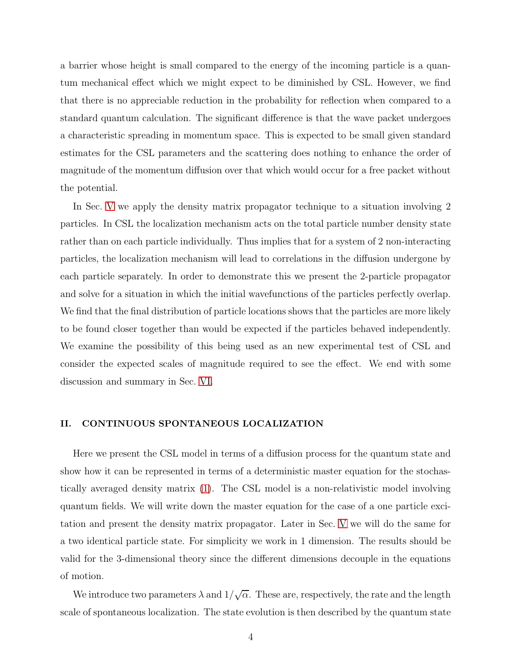a barrier whose height is small compared to the energy of the incoming particle is a quantum mechanical effect which we might expect to be diminished by CSL. However, we find that there is no appreciable reduction in the probability for reflection when compared to a standard quantum calculation. The significant difference is that the wave packet undergoes a characteristic spreading in momentum space. This is expected to be small given standard estimates for the CSL parameters and the scattering does nothing to enhance the order of magnitude of the momentum diffusion over that which would occur for a free packet without the potential.

In Sec. [V](#page-14-0) we apply the density matrix propagator technique to a situation involving 2 particles. In CSL the localization mechanism acts on the total particle number density state rather than on each particle individually. Thus implies that for a system of 2 non-interacting particles, the localization mechanism will lead to correlations in the diffusion undergone by each particle separately. In order to demonstrate this we present the 2-particle propagator and solve for a situation in which the initial wavefunctions of the particles perfectly overlap. We find that the final distribution of particle locations shows that the particles are more likely to be found closer together than would be expected if the particles behaved independently. We examine the possibility of this being used as an new experimental test of CSL and consider the expected scales of magnitude required to see the effect. We end with some discussion and summary in Sec. [VI.](#page-17-0)

#### <span id="page-3-0"></span>II. CONTINUOUS SPONTANEOUS LOCALIZATION

Here we present the CSL model in terms of a diffusion process for the quantum state and show how it can be represented in terms of a deterministic master equation for the stochastically averaged density matrix [\(1\)](#page-2-0). The CSL model is a non-relativistic model involving quantum fields. We will write down the master equation for the case of a one particle excitation and present the density matrix propagator. Later in Sec. [V](#page-14-0) we will do the same for a two identical particle state. For simplicity we work in 1 dimension. The results should be valid for the 3-dimensional theory since the different dimensions decouple in the equations of motion.

We introduce two parameters  $\lambda$  and  $1/\sqrt{\alpha}$ . These are, respectively, the rate and the length scale of spontaneous localization. The state evolution is then described by the quantum state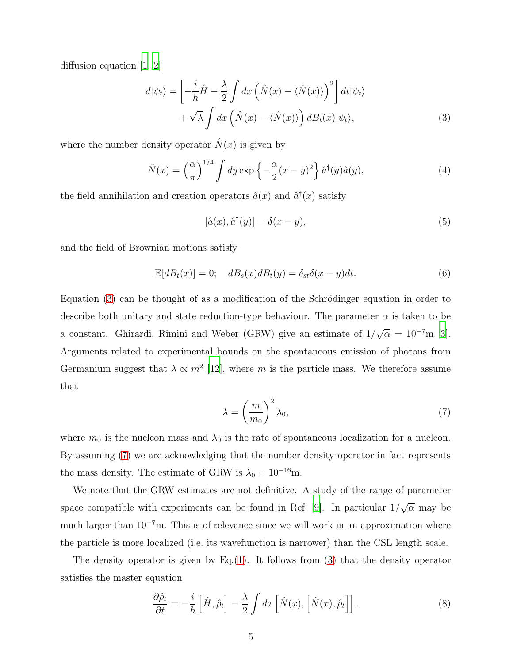diffusion equation [\[1](#page-18-0), [2](#page-18-7)]

$$
d|\psi_t\rangle = \left[ -\frac{i}{\hbar}\hat{H} - \frac{\lambda}{2} \int dx \left( \hat{N}(x) - \langle \hat{N}(x) \rangle \right)^2 \right] dt |\psi_t\rangle + \sqrt{\lambda} \int dx \left( \hat{N}(x) - \langle \hat{N}(x) \rangle \right) dB_t(x) |\psi_t\rangle,
$$
 (3)

where the number density operator  $\hat{N}(x)$  is given by

$$
\hat{N}(x) = \left(\frac{\alpha}{\pi}\right)^{1/4} \int dy \exp\left\{-\frac{\alpha}{2}(x-y)^2\right\} \hat{a}^\dagger(y)\hat{a}(y),\tag{4}
$$

the field annihilation and creation operators  $\hat{a}(x)$  and  $\hat{a}^{\dagger}(x)$  satisfy

<span id="page-4-3"></span><span id="page-4-0"></span>
$$
[\hat{a}(x), \hat{a}^\dagger(y)] = \delta(x - y),\tag{5}
$$

and the field of Brownian motions satisfy

$$
\mathbb{E}[dB_t(x)] = 0; \quad dB_s(x)dB_t(y) = \delta_{st}\delta(x - y)dt.
$$
\n(6)

Equation  $(3)$  can be thought of as a modification of the Schrödinger equation in order to describe both unitary and state reduction-type behaviour. The parameter  $\alpha$  is taken to be a constant. Ghirardi, Rimini and Weber (GRW) give an estimate of  $1/\sqrt{\alpha} = 10^{-7}$ m [\[3\]](#page-18-1). Arguments related to experimental bounds on the spontaneous emission of photons from Germanium suggest that  $\lambda \propto m^2$  [\[12](#page-19-2)], where m is the particle mass. We therefore assume that

<span id="page-4-1"></span>
$$
\lambda = \left(\frac{m}{m_0}\right)^2 \lambda_0,\tag{7}
$$

where  $m_0$  is the nucleon mass and  $\lambda_0$  is the rate of spontaneous localization for a nucleon. By assuming [\(7\)](#page-4-1) we are acknowledging that the number density operator in fact represents the mass density. The estimate of GRW is  $\lambda_0 = 10^{-16}$ m.

We note that the GRW estimates are not definitive. A study of the range of parameter space compatible with experiments can be found in Ref. [\[9\]](#page-18-8). In particular  $1/\sqrt{\alpha}$  may be much larger than  $10^{-7}$ m. This is of relevance since we will work in an approximation where the particle is more localized (i.e. its wavefunction is narrower) than the CSL length scale.

The density operator is given by Eq.  $(1)$ . It follows from  $(3)$  that the density operator satisfies the master equation

<span id="page-4-2"></span>
$$
\frac{\partial \hat{\rho}_t}{\partial t} = -\frac{i}{\hbar} \left[ \hat{H}, \hat{\rho}_t \right] - \frac{\lambda}{2} \int dx \left[ \hat{N}(x), \left[ \hat{N}(x), \hat{\rho}_t \right] \right]. \tag{8}
$$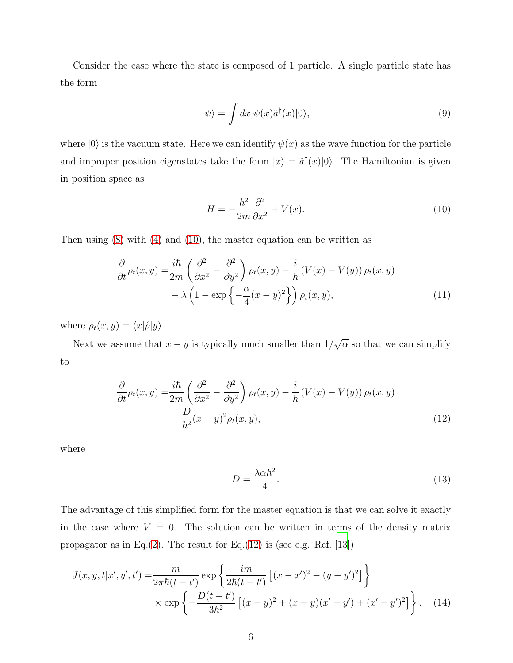Consider the case where the state is composed of 1 particle. A single particle state has the form

$$
|\psi\rangle = \int dx \ \psi(x)\hat{a}^{\dagger}(x)|0\rangle, \tag{9}
$$

where  $|0\rangle$  is the vacuum state. Here we can identify  $\psi(x)$  as the wave function for the particle and improper position eigenstates take the form  $|x\rangle = \hat{a}^{\dagger}(x)|0\rangle$ . The Hamiltonian is given in position space as

<span id="page-5-0"></span>
$$
H = -\frac{\hbar^2}{2m}\frac{\partial^2}{\partial x^2} + V(x). \tag{10}
$$

Then using [\(8\)](#page-4-2) with [\(4\)](#page-4-3) and [\(10\)](#page-5-0), the master equation can be written as

$$
\frac{\partial}{\partial t}\rho_t(x,y) = \frac{i\hbar}{2m} \left( \frac{\partial^2}{\partial x^2} - \frac{\partial^2}{\partial y^2} \right) \rho_t(x,y) - \frac{i}{\hbar} \left( V(x) - V(y) \right) \rho_t(x,y) \n- \lambda \left( 1 - \exp\left\{ -\frac{\alpha}{4} (x-y)^2 \right\} \right) \rho_t(x,y),
$$
\n(11)

where  $\rho_t(x, y) = \langle x|\hat{\rho}|y\rangle$ .

Next we assume that  $x - y$  is typically much smaller than  $1/\sqrt{\alpha}$  so that we can simplify to

$$
\frac{\partial}{\partial t}\rho_t(x,y) = \frac{i\hbar}{2m} \left( \frac{\partial^2}{\partial x^2} - \frac{\partial^2}{\partial y^2} \right) \rho_t(x,y) - \frac{i}{\hbar} \left( V(x) - V(y) \right) \rho_t(x,y) \n- \frac{D}{\hbar^2} (x-y)^2 \rho_t(x,y),
$$
\n(12)

where

<span id="page-5-3"></span><span id="page-5-2"></span><span id="page-5-1"></span>
$$
D = \frac{\lambda \alpha \hbar^2}{4}.
$$
\n(13)

The advantage of this simplified form for the master equation is that we can solve it exactly in the case where  $V = 0$ . The solution can be written in terms of the density matrix propagator as in Eq.[\(2\)](#page-2-1). The result for Eq.[\(12\)](#page-5-1) is (see e.g. Ref.  $[13]$ )

$$
J(x, y, t|x', y', t') = \frac{m}{2\pi\hbar(t - t')} \exp\left\{\frac{im}{2\hbar(t - t')}\left[(x - x')^2 - (y - y')^2\right]\right\}
$$

$$
\times \exp\left\{-\frac{D(t - t')}{3\hbar^2}\left[(x - y)^2 + (x - y)(x' - y') + (x' - y')^2\right]\right\}.
$$
 (14)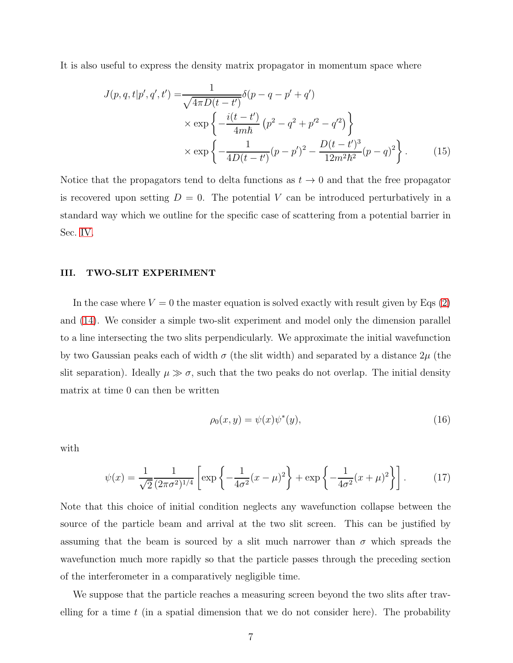It is also useful to express the density matrix propagator in momentum space where

<span id="page-6-1"></span>
$$
J(p,q,t|p',q',t') = \frac{1}{\sqrt{4\pi D(t-t')}} \delta(p-q-p'+q')
$$
  
 
$$
\times \exp\left\{-\frac{i(t-t')}{4m\hbar}(p^2-q^2+p'^2-q'^2)\right\}
$$
  
 
$$
\times \exp\left\{-\frac{1}{4D(t-t')}(p-p')^2-\frac{D(t-t')^3}{12m^2\hbar^2}(p-q)^2\right\}.
$$
 (15)

Notice that the propagators tend to delta functions as  $t \to 0$  and that the free propagator is recovered upon setting  $D = 0$ . The potential V can be introduced perturbatively in a standard way which we outline for the specific case of scattering from a potential barrier in Sec. [IV.](#page-9-0)

### <span id="page-6-0"></span>III. TWO-SLIT EXPERIMENT

In the case where  $V = 0$  the master equation is solved exactly with result given by Eqs  $(2)$ and [\(14\)](#page-5-2). We consider a simple two-slit experiment and model only the dimension parallel to a line intersecting the two slits perpendicularly. We approximate the initial wavefunction by two Gaussian peaks each of width  $\sigma$  (the slit width) and separated by a distance  $2\mu$  (the slit separation). Ideally  $\mu \gg \sigma$ , such that the two peaks do not overlap. The initial density matrix at time 0 can then be written

$$
\rho_0(x, y) = \psi(x)\psi^*(y),\tag{16}
$$

with

$$
\psi(x) = \frac{1}{\sqrt{2}} \frac{1}{(2\pi\sigma^2)^{1/4}} \left[ \exp\left\{-\frac{1}{4\sigma^2}(x-\mu)^2\right\} + \exp\left\{-\frac{1}{4\sigma^2}(x+\mu)^2\right\} \right].
$$
 (17)

Note that this choice of initial condition neglects any wavefunction collapse between the source of the particle beam and arrival at the two slit screen. This can be justified by assuming that the beam is sourced by a slit much narrower than  $\sigma$  which spreads the wavefunction much more rapidly so that the particle passes through the preceding section of the interferometer in a comparatively negligible time.

We suppose that the particle reaches a measuring screen beyond the two slits after travelling for a time  $t$  (in a spatial dimension that we do not consider here). The probability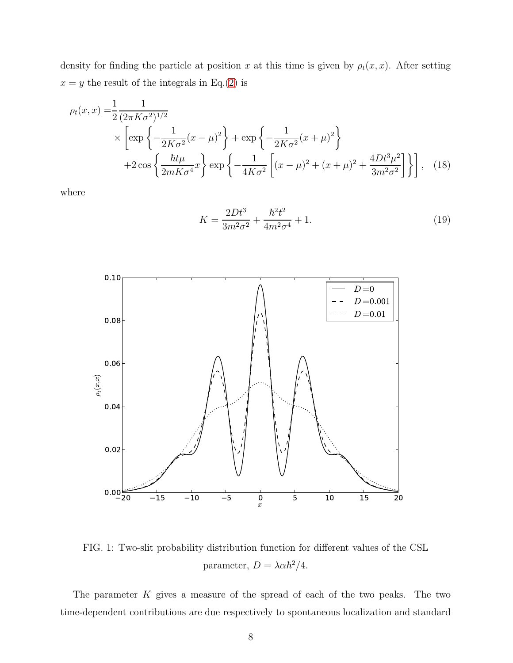density for finding the particle at position x at this time is given by  $\rho_t(x, x)$ . After setting  $x = y$  the result of the integrals in Eq.[\(2\)](#page-2-1) is

$$
\rho_t(x,x) = \frac{1}{2} \frac{1}{(2\pi K \sigma^2)^{1/2}} \times \left[ \exp\left\{-\frac{1}{2K\sigma^2}(x-\mu)^2\right\} + \exp\left\{-\frac{1}{2K\sigma^2}(x+\mu)^2\right\} + 2\cos\left\{\frac{\hbar t\mu}{2mK\sigma^4}x\right\} \exp\left\{-\frac{1}{4K\sigma^2}\left[(x-\mu)^2 + (x+\mu)^2 + \frac{4Dt^3\mu^2}{3m^2\sigma^2}\right]\right\},
$$
(18)

<span id="page-7-1"></span>where

<span id="page-7-2"></span><span id="page-7-0"></span>
$$
K = \frac{2Dt^3}{3m^2\sigma^2} + \frac{\hbar^2t^2}{4m^2\sigma^4} + 1.
$$
\n(19)



FIG. 1: Two-slit probability distribution function for different values of the CSL parameter,  $D = \lambda \alpha \hbar^2 / 4$ .

The parameter  $K$  gives a measure of the spread of each of the two peaks. The two time-dependent contributions are due respectively to spontaneous localization and standard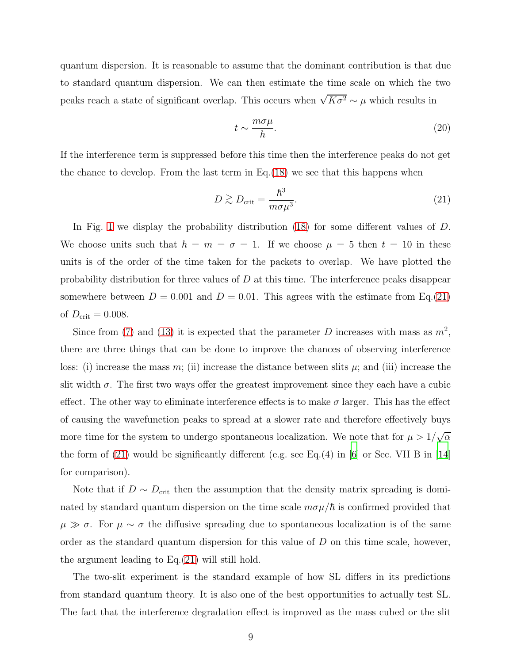quantum dispersion. It is reasonable to assume that the dominant contribution is that due to standard quantum dispersion. We can then estimate the time scale on which the two peaks reach a state of significant overlap. This occurs when  $\sqrt{K\sigma^2} \sim \mu$  which results in

<span id="page-8-1"></span><span id="page-8-0"></span>
$$
t \sim \frac{m\sigma\mu}{\hbar}.\tag{20}
$$

If the interference term is suppressed before this time then the interference peaks do not get the chance to develop. From the last term in Eq.[\(18\)](#page-7-0) we see that this happens when

$$
D \gtrsim D_{\rm crit} = \frac{\hbar^3}{m\sigma\mu^3}.\tag{21}
$$

In Fig. [1](#page-7-1) we display the probability distribution [\(18\)](#page-7-0) for some different values of D. We choose units such that  $\hbar = m = \sigma = 1$ . If we choose  $\mu = 5$  then  $t = 10$  in these units is of the order of the time taken for the packets to overlap. We have plotted the probability distribution for three values of  $D$  at this time. The interference peaks disappear somewhere between  $D = 0.001$  and  $D = 0.01$ . This agrees with the estimate from Eq. [\(21\)](#page-8-0) of  $D_{\text{crit}} = 0.008$ .

Since from [\(7\)](#page-4-1) and [\(13\)](#page-5-3) it is expected that the parameter D increases with mass as  $m^2$ , there are three things that can be done to improve the chances of observing interference loss: (i) increase the mass m; (ii) increase the distance between slits  $\mu$ ; and (iii) increase the slit width  $\sigma$ . The first two ways offer the greatest improvement since they each have a cubic effect. The other way to eliminate interference effects is to make  $\sigma$  larger. This has the effect of causing the wavefunction peaks to spread at a slower rate and therefore effectively buys more time for the system to undergo spontaneous localization. We note that for  $\mu > 1/\sqrt{\alpha}$ the form of  $(21)$  would be significantly different (e.g. see Eq. $(4)$  in [\[6\]](#page-18-4) or Sec. VII B in [\[14\]](#page-19-4) for comparison).

Note that if  $D \sim D_{\text{crit}}$  then the assumption that the density matrix spreading is dominated by standard quantum dispersion on the time scale  $m\sigma\mu/\hbar$  is confirmed provided that  $\mu \gg \sigma$ . For  $\mu \sim \sigma$  the diffusive spreading due to spontaneous localization is of the same order as the standard quantum dispersion for this value of  $D$  on this time scale, however, the argument leading to Eq.[\(21\)](#page-8-0) will still hold.

The two-slit experiment is the standard example of how SL differs in its predictions from standard quantum theory. It is also one of the best opportunities to actually test SL. The fact that the interference degradation effect is improved as the mass cubed or the slit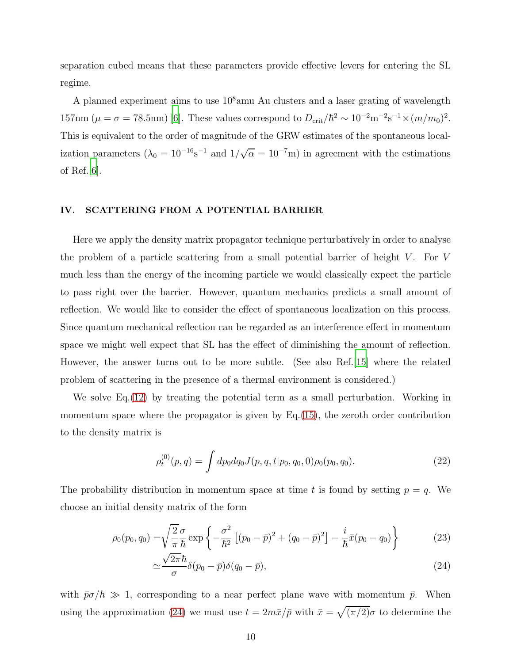separation cubed means that these parameters provide effective levers for entering the SL regime.

A planned experiment aims to use  $10^8$ amu Au clusters and a laser grating of wavelength 157nm ( $\mu = \sigma = 78.5$ nm) [\[6\]](#page-18-4). These values correspond to  $D_{\rm crit}/\hbar^2 \sim 10^{-2}$ m<sup>-2</sup>s<sup>-1</sup> ×  $(m/m_0)^2$ . This is equivalent to the order of magnitude of the GRW estimates of the spontaneous localization parameters  $(\lambda_0 = 10^{-16} \text{s}^{-1}$  and  $1/\sqrt{\alpha} = 10^{-7} \text{m})$  in agreement with the estimations of Ref. $[6]$  $[6]$ .

# <span id="page-9-0"></span>IV. SCATTERING FROM A POTENTIAL BARRIER

Here we apply the density matrix propagator technique perturbatively in order to analyse the problem of a particle scattering from a small potential barrier of height  $V$ . For  $V$ much less than the energy of the incoming particle we would classically expect the particle to pass right over the barrier. However, quantum mechanics predicts a small amount of reflection. We would like to consider the effect of spontaneous localization on this process. Since quantum mechanical reflection can be regarded as an interference effect in momentum space we might well expect that SL has the effect of diminishing the amount of reflection. However, the answer turns out to be more subtle. (See also Ref. | 15 | where the related problem of scattering in the presence of a thermal environment is considered.)

We solve Eq.[\(12\)](#page-5-1) by treating the potential term as a small perturbation. Working in momentum space where the propagator is given by Eq.[\(15\)](#page-6-1), the zeroth order contribution to the density matrix is

$$
\rho_t^{(0)}(p,q) = \int dp_0 dq_0 J(p,q,t|p_0,q_0,0)\rho_0(p_0,q_0). \tag{22}
$$

The probability distribution in momentum space at time t is found by setting  $p = q$ . We choose an initial density matrix of the form

$$
\rho_0(p_0, q_0) = \sqrt{\frac{2}{\pi}} \frac{\sigma}{\hbar} \exp\left\{-\frac{\sigma^2}{\hbar^2} \left[ (p_0 - \bar{p})^2 + (q_0 - \bar{p})^2 \right] - \frac{i}{\hbar} \bar{x} (p_0 - q_0) \right\} \tag{23}
$$

<span id="page-9-1"></span>
$$
\simeq \frac{\sqrt{2\pi}\hbar}{\sigma}\delta(p_0 - \bar{p})\delta(q_0 - \bar{p}),\tag{24}
$$

with  $\bar{p}\sigma/\hbar \gg 1$ , corresponding to a near perfect plane wave with momentum  $\bar{p}$ . When using the approximation [\(24\)](#page-9-1) we must use  $t = 2m\bar{x}/\bar{p}$  with  $\bar{x} = \sqrt{(\pi/2)}\sigma$  to determine the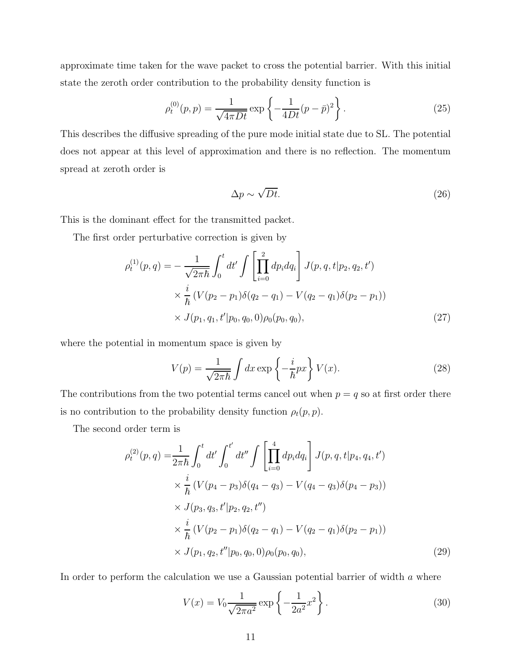approximate time taken for the wave packet to cross the potential barrier. With this initial state the zeroth order contribution to the probability density function is

$$
\rho_t^{(0)}(p, p) = \frac{1}{\sqrt{4\pi Dt}} \exp\left\{-\frac{1}{4Dt}(p - \bar{p})^2\right\}.
$$
\n(25)

This describes the diffusive spreading of the pure mode initial state due to SL. The potential does not appear at this level of approximation and there is no reflection. The momentum spread at zeroth order is

$$
\Delta p \sim \sqrt{Dt}.\tag{26}
$$

This is the dominant effect for the transmitted packet.

The first order perturbative correction is given by

$$
\rho_t^{(1)}(p,q) = -\frac{1}{\sqrt{2\pi\hbar}} \int_0^t dt' \int \left[ \prod_{i=0}^2 dp_i dq_i \right] J(p,q,t|p_2,q_2,t')
$$
  
 
$$
\times \frac{i}{\hbar} \left( V(p_2 - p_1) \delta(q_2 - q_1) - V(q_2 - q_1) \delta(p_2 - p_1) \right)
$$
  
 
$$
\times J(p_1, q_1, t'|p_0, q_0, 0) \rho_0(p_0, q_0), \qquad (27)
$$

where the potential in momentum space is given by

$$
V(p) = \frac{1}{\sqrt{2\pi\hbar}} \int dx \exp\left\{-\frac{i}{\hbar}px\right\} V(x).
$$
 (28)

The contributions from the two potential terms cancel out when  $p = q$  so at first order there is no contribution to the probability density function  $\rho_t(p, p)$ .

The second order term is

$$
\rho_t^{(2)}(p,q) = \frac{1}{2\pi\hbar} \int_0^t dt' \int_0^{t'} dt'' \int \left[ \prod_{i=0}^4 dp_i dq_i \right] J(p,q,t|p_4, q_4, t')
$$
  
\n
$$
\times \frac{i}{\hbar} (V(p_4 - p_3)\delta(q_4 - q_3) - V(q_4 - q_3)\delta(p_4 - p_3))
$$
  
\n
$$
\times J(p_3, q_3, t'|p_2, q_2, t'')
$$
  
\n
$$
\times \frac{i}{\hbar} (V(p_2 - p_1)\delta(q_2 - q_1) - V(q_2 - q_1)\delta(p_2 - p_1))
$$
  
\n
$$
\times J(p_1, q_2, t''|p_0, q_0, 0) \rho_0(p_0, q_0),
$$
\n(29)

In order to perform the calculation we use a Gaussian potential barrier of width a where

<span id="page-10-0"></span>
$$
V(x) = V_0 \frac{1}{\sqrt{2\pi a^2}} \exp\left\{-\frac{1}{2a^2}x^2\right\}.
$$
 (30)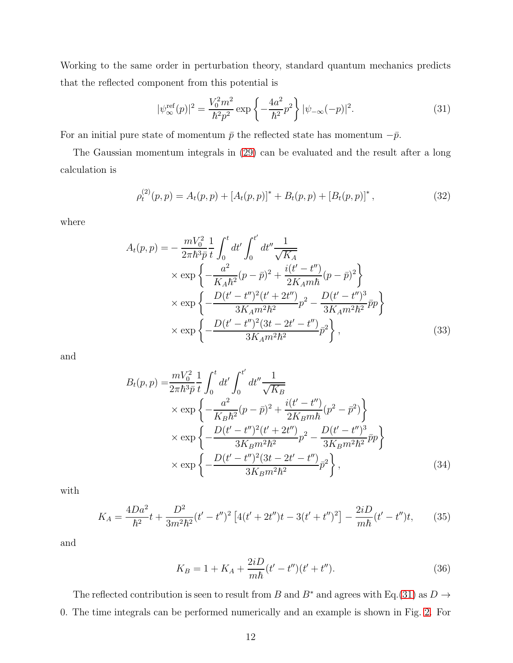Working to the same order in perturbation theory, standard quantum mechanics predicts that the reflected component from this potential is

<span id="page-11-0"></span>
$$
|\psi_{\infty}^{\text{ref}}(p)|^2 = \frac{V_0^2 m^2}{\hbar^2 p^2} \exp\left\{-\frac{4a^2}{\hbar^2}p^2\right\} |\psi_{-\infty}(-p)|^2.
$$
 (31)

For an initial pure state of momentum  $\bar{p}$  the reflected state has momentum  $-\bar{p}$ .

The Gaussian momentum integrals in [\(29\)](#page-10-0) can be evaluated and the result after a long calculation is

$$
\rho_t^{(2)}(p,p) = A_t(p,p) + [A_t(p,p)]^* + B_t(p,p) + [B_t(p,p)]^*,
$$
\n(32)

where

$$
A_t(p,p) = -\frac{mV_0^2}{2\pi\hbar^3 \bar{p}} \frac{1}{t} \int_0^t dt' \int_0^{t'} dt'' \frac{1}{\sqrt{K_A}} \times \exp\left\{-\frac{a^2}{K_A\hbar^2}(p-\bar{p})^2 + \frac{i(t'-t'')}{2K_Am\hbar}(p-\bar{p})^2\right\} \times \exp\left\{-\frac{D(t'-t'')^2(t'+2t'')}{3K_Am^2\hbar^2}p^2 - \frac{D(t'-t'')^3}{3K_Am^2\hbar^2}\bar{p}p\right\} \times \exp\left\{-\frac{D(t'-t'')^2(3t-2t'-t'')}{3K_Am^2\hbar^2}\bar{p}^2\right\},
$$
\n(33)

and

$$
B_t(p,p) = \frac{mV_0^2}{2\pi\hbar^3\bar{p}} \frac{1}{t} \int_0^t dt' \int_0^{t'} dt'' \frac{1}{\sqrt{K_B}} \times \exp\left\{-\frac{a^2}{K_B\hbar^2}(p-\bar{p})^2 + \frac{i(t'-t'')}{2K_Bm\hbar}(p^2-\bar{p}^2)\right\} \times \exp\left\{-\frac{D(t'-t'')^2(t'+2t'')}{3K_Bm^2\hbar^2}p^2 - \frac{D(t'-t'')^3}{3K_Bm^2\hbar^2}\bar{p}p\right\} \times \exp\left\{-\frac{D(t'-t'')^2(3t-2t'-t'')}{3K_Bm^2\hbar^2}\bar{p}^2\right\},
$$
\n(34)

with

$$
K_A = \frac{4Da^2}{\hbar^2}t + \frac{D^2}{3m^2\hbar^2}(t'-t'')^2 \left[4(t'+2t'')t - 3(t'+t'')^2\right] - \frac{2iD}{m\hbar}(t'-t'')t,\tag{35}
$$

and

<span id="page-11-3"></span><span id="page-11-2"></span><span id="page-11-1"></span>
$$
K_B = 1 + K_A + \frac{2iD}{m\hbar}(t' - t'')(t' + t'').
$$
\n(36)

The reflected contribution is seen to result from B and B<sup>∗</sup> and agrees with Eq.[\(31\)](#page-11-0) as  $D \rightarrow$ 0. The time integrals can be performed numerically and an example is shown in Fig. [2.](#page-12-0) For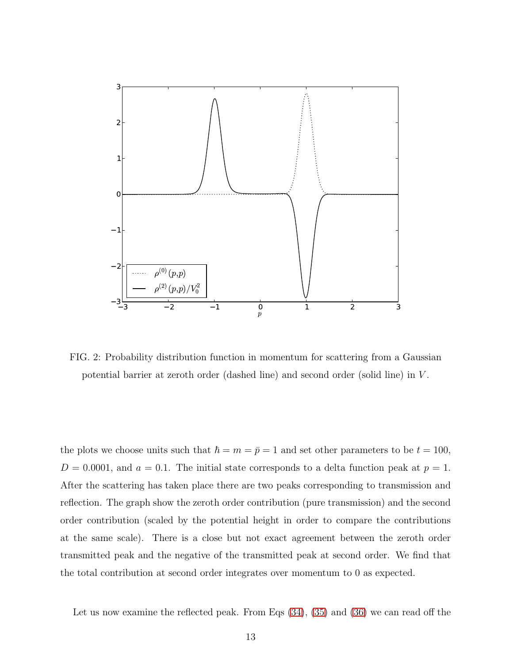<span id="page-12-0"></span>

FIG. 2: Probability distribution function in momentum for scattering from a Gaussian potential barrier at zeroth order (dashed line) and second order (solid line) in V .

the plots we choose units such that  $\hbar = m = \bar{p} = 1$  and set other parameters to be  $t = 100$ ,  $D = 0.0001$ , and  $a = 0.1$ . The initial state corresponds to a delta function peak at  $p = 1$ . After the scattering has taken place there are two peaks corresponding to transmission and reflection. The graph show the zeroth order contribution (pure transmission) and the second order contribution (scaled by the potential height in order to compare the contributions at the same scale). There is a close but not exact agreement between the zeroth order transmitted peak and the negative of the transmitted peak at second order. We find that the total contribution at second order integrates over momentum to 0 as expected.

Let us now examine the reflected peak. From Eqs [\(34\)](#page-11-1), [\(35\)](#page-11-2) and [\(36\)](#page-11-3) we can read off the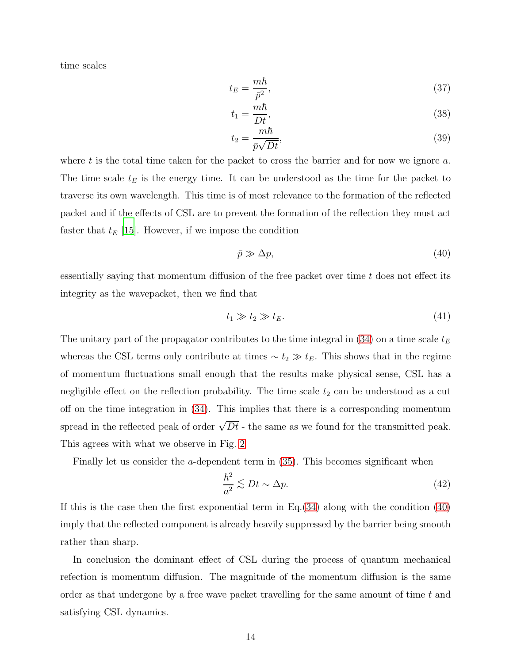time scales

$$
t_E = \frac{m\hbar}{\bar{p}^2},\tag{37}
$$

$$
t_1 = \frac{m\hbar}{Dt},\tag{38}
$$

$$
t_2 = \frac{m\hbar}{\bar{p}\sqrt{Dt}},\tag{39}
$$

where t is the total time taken for the packet to cross the barrier and for now we ignore a. The time scale  $t_E$  is the energy time. It can be understood as the time for the packet to traverse its own wavelength. This time is of most relevance to the formation of the reflected packet and if the effects of CSL are to prevent the formation of the reflection they must act faster that  $t_E$  [\[15\]](#page-19-5). However, if we impose the condition

<span id="page-13-0"></span>
$$
\bar{p} \gg \Delta p,\tag{40}
$$

essentially saying that momentum diffusion of the free packet over time  $t$  does not effect its integrity as the wavepacket, then we find that

$$
t_1 \gg t_2 \gg t_E. \tag{41}
$$

The unitary part of the propagator contributes to the time integral in  $(34)$  on a time scale  $t_E$ whereas the CSL terms only contribute at times  $\sim t_2 \gg t_E$ . This shows that in the regime of momentum fluctuations small enough that the results make physical sense, CSL has a negligible effect on the reflection probability. The time scale  $t_2$  can be understood as a cut off on the time integration in [\(34\)](#page-11-1). This implies that there is a corresponding momentum spread in the reflected peak of order  $\sqrt{Dt}$  - the same as we found for the transmitted peak. This agrees with what we observe in Fig. [2](#page-12-0)

Finally let us consider the a-dependent term in [\(35\)](#page-11-2). This becomes significant when

$$
\frac{\hbar^2}{a^2} \lesssim Dt \sim \Delta p. \tag{42}
$$

If this is the case then the first exponential term in Eq.[\(34\)](#page-11-1) along with the condition [\(40\)](#page-13-0) imply that the reflected component is already heavily suppressed by the barrier being smooth rather than sharp.

In conclusion the dominant effect of CSL during the process of quantum mechanical refection is momentum diffusion. The magnitude of the momentum diffusion is the same order as that undergone by a free wave packet travelling for the same amount of time  $t$  and satisfying CSL dynamics.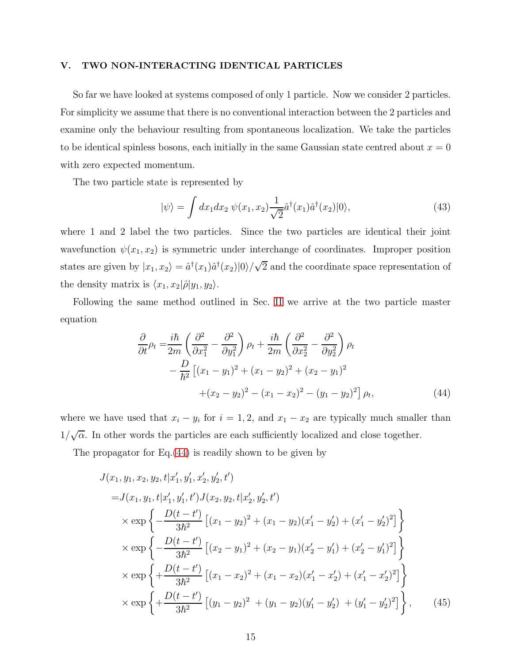### <span id="page-14-0"></span>V. TWO NON-INTERACTING IDENTICAL PARTICLES

So far we have looked at systems composed of only 1 particle. Now we consider 2 particles. For simplicity we assume that there is no conventional interaction between the 2 particles and examine only the behaviour resulting from spontaneous localization. We take the particles to be identical spinless bosons, each initially in the same Gaussian state centred about  $x = 0$ with zero expected momentum.

The two particle state is represented by

$$
|\psi\rangle = \int dx_1 dx_2 \ \psi(x_1, x_2) \frac{1}{\sqrt{2}} \hat{a}^\dagger(x_1) \hat{a}^\dagger(x_2) |0\rangle,\tag{43}
$$

where 1 and 2 label the two particles. Since the two particles are identical their joint wavefunction  $\psi(x_1, x_2)$  is symmetric under interchange of coordinates. Improper position states are given by  $|x_1, x_2\rangle = \hat{a}^{\dagger}(x_1)\hat{a}^{\dagger}(x_2)|0\rangle/\sqrt{2}$  and the coordinate space representation of the density matrix is  $\langle x_1, x_2|\hat{\rho}|y_1, y_2\rangle$ .

Following the same method outlined in Sec. [II](#page-3-0) we arrive at the two particle master equation

<span id="page-14-1"></span>
$$
\frac{\partial}{\partial t}\rho_t = \frac{i\hbar}{2m} \left( \frac{\partial^2}{\partial x_1^2} - \frac{\partial^2}{\partial y_1^2} \right) \rho_t + \frac{i\hbar}{2m} \left( \frac{\partial^2}{\partial x_2^2} - \frac{\partial^2}{\partial y_2^2} \right) \rho_t \n- \frac{D}{\hbar^2} \left[ (x_1 - y_1)^2 + (x_1 - y_2)^2 + (x_2 - y_1)^2 \right. \n+ (x_2 - y_2)^2 - (x_1 - x_2)^2 - (y_1 - y_2)^2 \rho_t,
$$
\n(44)

where we have used that  $x_i - y_i$  for  $i = 1, 2$ , and  $x_1 - x_2$  are typically much smaller than  $1/\sqrt{\alpha}$ . In other words the particles are each sufficiently localized and close together.

The propagator for Eq.[\(44\)](#page-14-1) is readily shown to be given by

$$
J(x_1, y_1, x_2, y_2, t | x'_1, y'_1, x'_2, y'_2, t')
$$
  
=  $J(x_1, y_1, t | x'_1, y'_1, t') J(x_2, y_2, t | x'_2, y'_2, t')$   
 $\times \exp \left\{-\frac{D(t - t')}{3\hbar^2} \left[ (x_1 - y_2)^2 + (x_1 - y_2)(x'_1 - y'_2) + (x'_1 - y'_2)^2 \right] \right\}$   
 $\times \exp \left\{-\frac{D(t - t')}{3\hbar^2} \left[ (x_2 - y_1)^2 + (x_2 - y_1)(x'_2 - y'_1) + (x'_2 - y'_1)^2 \right] \right\}$   
 $\times \exp \left\{+\frac{D(t - t')}{3\hbar^2} \left[ (x_1 - x_2)^2 + (x_1 - x_2)(x'_1 - x'_2) + (x'_1 - x'_2)^2 \right] \right\}$   
 $\times \exp \left\{+\frac{D(t - t')}{3\hbar^2} \left[ (y_1 - y_2)^2 + (y_1 - y_2)(y'_1 - y'_2) + (y'_1 - y'_2)^2 \right] \right\},$  (45)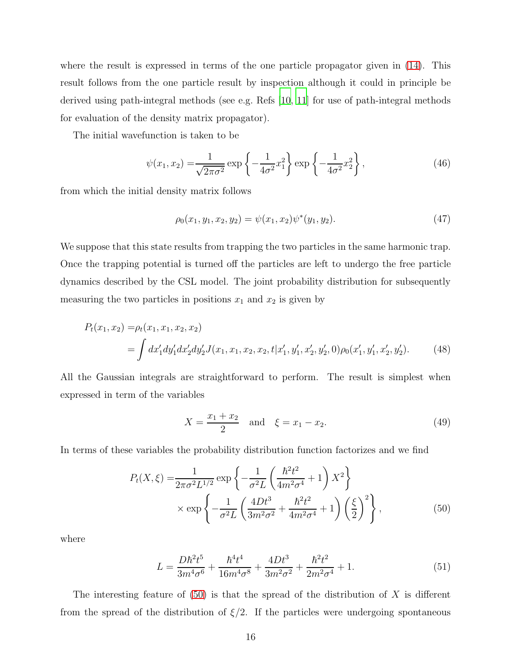where the result is expressed in terms of the one particle propagator given in [\(14\)](#page-5-2). This result follows from the one particle result by inspection although it could in principle be derived using path-integral methods (see e.g. Refs [\[10](#page-19-0), [11\]](#page-19-1) for use of path-integral methods for evaluation of the density matrix propagator).

The initial wavefunction is taken to be

$$
\psi(x_1, x_2) = \frac{1}{\sqrt{2\pi\sigma^2}} \exp\left\{-\frac{1}{4\sigma^2}x_1^2\right\} \exp\left\{-\frac{1}{4\sigma^2}x_2^2\right\},\tag{46}
$$

from which the initial density matrix follows

$$
\rho_0(x_1, y_1, x_2, y_2) = \psi(x_1, x_2)\psi^*(y_1, y_2). \tag{47}
$$

We suppose that this state results from trapping the two particles in the same harmonic trap. Once the trapping potential is turned off the particles are left to undergo the free particle dynamics described by the CSL model. The joint probability distribution for subsequently measuring the two particles in positions  $x_1$  and  $x_2$  is given by

$$
P_t(x_1, x_2) = \rho_t(x_1, x_1, x_2, x_2)
$$
  
= 
$$
\int dx'_1 dy'_1 dx'_2 dy'_2 J(x_1, x_1, x_2, x_2, t | x'_1, y'_1, x'_2, y'_2, 0) \rho_0(x'_1, y'_1, x'_2, y'_2).
$$
 (48)

All the Gaussian integrals are straightforward to perform. The result is simplest when expressed in term of the variables

<span id="page-15-0"></span>
$$
X = \frac{x_1 + x_2}{2} \quad \text{and} \quad \xi = x_1 - x_2. \tag{49}
$$

In terms of these variables the probability distribution function factorizes and we find

$$
P_t(X,\xi) = \frac{1}{2\pi\sigma^2 L^{1/2}} \exp\left\{-\frac{1}{\sigma^2 L} \left(\frac{\hbar^2 t^2}{4m^2 \sigma^4} + 1\right) X^2\right\}
$$

$$
\times \exp\left\{-\frac{1}{\sigma^2 L} \left(\frac{4Dt^3}{3m^2 \sigma^2} + \frac{\hbar^2 t^2}{4m^2 \sigma^4} + 1\right) \left(\frac{\xi}{2}\right)^2\right\},
$$
(50)

where

$$
L = \frac{D\hbar^2 t^5}{3m^4\sigma^6} + \frac{\hbar^4 t^4}{16m^4\sigma^8} + \frac{4Dt^3}{3m^2\sigma^2} + \frac{\hbar^2 t^2}{2m^2\sigma^4} + 1.
$$
 (51)

The interesting feature of  $(50)$  is that the spread of the distribution of X is different from the spread of the distribution of  $\xi/2$ . If the particles were undergoing spontaneous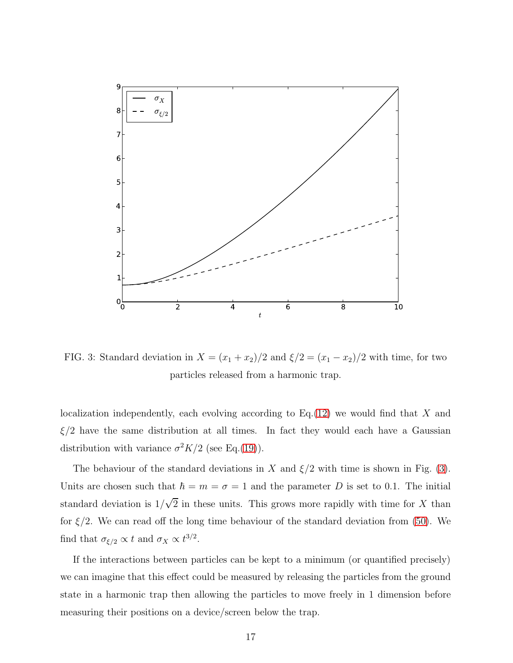<span id="page-16-0"></span>

FIG. 3: Standard deviation in  $X = (x_1 + x_2)/2$  and  $\xi/2 = (x_1 - x_2)/2$  with time, for two particles released from a harmonic trap.

localization independently, each evolving according to  $Eq.(12)$  $Eq.(12)$  we would find that X and  $\xi/2$  have the same distribution at all times. In fact they would each have a Gaussian distribution with variance  $\sigma^2 K/2$  (see Eq.[\(19\)](#page-7-2)).

The behaviour of the standard deviations in X and  $\xi/2$  with time is shown in Fig. [\(3\)](#page-16-0). Units are chosen such that  $\hbar = m = \sigma = 1$  and the parameter D is set to 0.1. The initial standard deviation is  $1/\sqrt{2}$  in these units. This grows more rapidly with time for X than for  $\xi/2$ . We can read off the long time behaviour of the standard deviation from [\(50\)](#page-15-0). We find that  $\sigma_{\xi/2} \propto t$  and  $\sigma_X \propto t^{3/2}$ .

If the interactions between particles can be kept to a minimum (or quantified precisely) we can imagine that this effect could be measured by releasing the particles from the ground state in a harmonic trap then allowing the particles to move freely in 1 dimension before measuring their positions on a device/screen below the trap.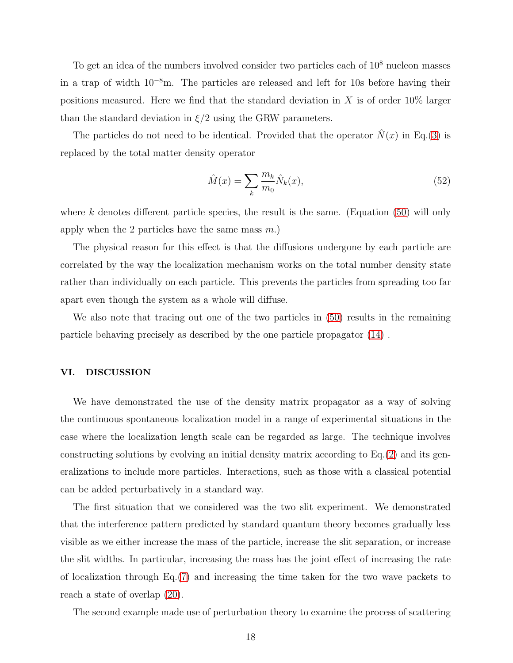To get an idea of the numbers involved consider two particles each of  $10<sup>8</sup>$  nucleon masses in a trap of width 10<sup>−</sup><sup>8</sup>m. The particles are released and left for 10s before having their positions measured. Here we find that the standard deviation in X is of order  $10\%$  larger than the standard deviation in  $\xi/2$  using the GRW parameters.

The particles do not need to be identical. Provided that the operator  $\hat{N}(x)$  in Eq.[\(3\)](#page-4-0) is replaced by the total matter density operator

$$
\hat{M}(x) = \sum_{k} \frac{m_k}{m_0} \hat{N}_k(x),\tag{52}
$$

where k denotes different particle species, the result is the same. (Equation  $(50)$  will only apply when the 2 particles have the same mass  $m$ .)

The physical reason for this effect is that the diffusions undergone by each particle are correlated by the way the localization mechanism works on the total number density state rather than individually on each particle. This prevents the particles from spreading too far apart even though the system as a whole will diffuse.

We also note that tracing out one of the two particles in  $(50)$  results in the remaining particle behaving precisely as described by the one particle propagator [\(14\)](#page-5-2) .

# <span id="page-17-0"></span>VI. DISCUSSION

We have demonstrated the use of the density matrix propagator as a way of solving the continuous spontaneous localization model in a range of experimental situations in the case where the localization length scale can be regarded as large. The technique involves constructing solutions by evolving an initial density matrix according to Eq.[\(2\)](#page-2-1) and its generalizations to include more particles. Interactions, such as those with a classical potential can be added perturbatively in a standard way.

The first situation that we considered was the two slit experiment. We demonstrated that the interference pattern predicted by standard quantum theory becomes gradually less visible as we either increase the mass of the particle, increase the slit separation, or increase the slit widths. In particular, increasing the mass has the joint effect of increasing the rate of localization through Eq.[\(7\)](#page-4-1) and increasing the time taken for the two wave packets to reach a state of overlap [\(20\)](#page-8-1).

The second example made use of perturbation theory to examine the process of scattering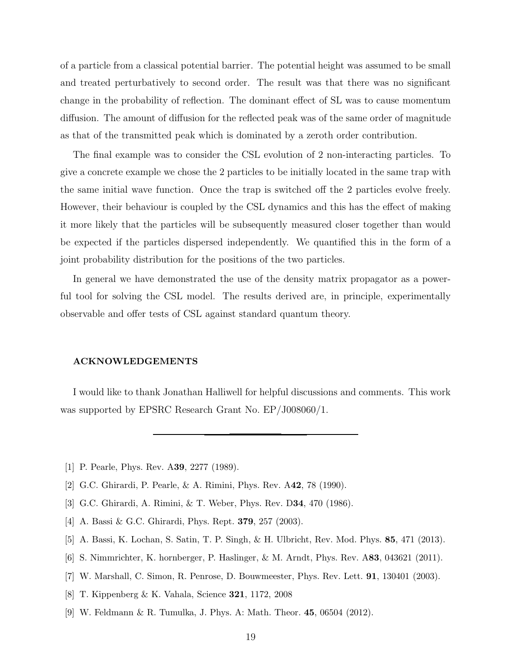of a particle from a classical potential barrier. The potential height was assumed to be small and treated perturbatively to second order. The result was that there was no significant change in the probability of reflection. The dominant effect of SL was to cause momentum diffusion. The amount of diffusion for the reflected peak was of the same order of magnitude as that of the transmitted peak which is dominated by a zeroth order contribution.

The final example was to consider the CSL evolution of 2 non-interacting particles. To give a concrete example we chose the 2 particles to be initially located in the same trap with the same initial wave function. Once the trap is switched off the 2 particles evolve freely. However, their behaviour is coupled by the CSL dynamics and this has the effect of making it more likely that the particles will be subsequently measured closer together than would be expected if the particles dispersed independently. We quantified this in the form of a joint probability distribution for the positions of the two particles.

In general we have demonstrated the use of the density matrix propagator as a powerful tool for solving the CSL model. The results derived are, in principle, experimentally observable and offer tests of CSL against standard quantum theory.

#### ACKNOWLEDGEMENTS

I would like to thank Jonathan Halliwell for helpful discussions and comments. This work was supported by EPSRC Research Grant No. EP/J008060/1.

- <span id="page-18-7"></span><span id="page-18-0"></span>[1] P. Pearle, Phys. Rev. A39, 2277 (1989).
- [2] G.C. Ghirardi, P. Pearle, & A. Rimini, Phys. Rev. A42, 78 (1990).
- <span id="page-18-1"></span>[3] G.C. Ghirardi, A. Rimini, & T. Weber, Phys. Rev. D34, 470 (1986).
- <span id="page-18-2"></span>[4] A. Bassi & G.C. Ghirardi, Phys. Rept. 379, 257 (2003).
- <span id="page-18-3"></span>[5] A. Bassi, K. Lochan, S. Satin, T. P. Singh, & H. Ulbricht, Rev. Mod. Phys. 85, 471 (2013).
- <span id="page-18-4"></span>[6] S. Nimmrichter, K. hornberger, P. Haslinger, & M. Arndt, Phys. Rev. A83, 043621 (2011).
- <span id="page-18-5"></span>[7] W. Marshall, C. Simon, R. Penrose, D. Bouwmeester, Phys. Rev. Lett. 91, 130401 (2003).
- <span id="page-18-6"></span>[8] T. Kippenberg & K. Vahala, Science 321, 1172, 2008
- <span id="page-18-8"></span>[9] W. Feldmann & R. Tumulka, J. Phys. A: Math. Theor. 45, 06504 (2012).